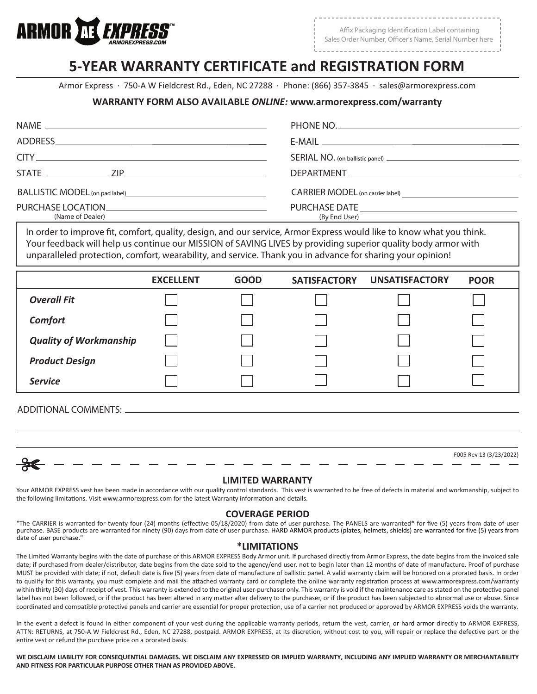

Affix Packaging Identification Label containing Sales Order Number, Officer's Name, Serial Number here

# **5-YEAR WARRANTY CERTIFICATE and REGISTRATION FORM**

Armor Express · 750-A W Fieldcrest Rd., Eden, NC 27288 · Phone: (866) 357-3845 · sales@armorexpress.com

## **WARRANTY FORM ALSO AVAILABLE** *ONLINE:* **www.armorexpress.com/warranty**

|                                                                                                                                                                                                                                  | PHONE NO.                               |
|----------------------------------------------------------------------------------------------------------------------------------------------------------------------------------------------------------------------------------|-----------------------------------------|
|                                                                                                                                                                                                                                  |                                         |
| $CITY$ and $CITY$ and $CZ$ and $CZ$ and $CZ$ and $CZ$ and $CZ$ and $CZ$ and $CZ$ and $CZ$ and $CZ$ and $CZ$ and $CZ$ and $CZ$ and $CZ$ and $CZ$ and $CZ$ and $CZ$ and $CZ$ and $CZ$ and $CZ$ and $CZ$ and $CZ$ and $CZ$ and $CZ$ |                                         |
|                                                                                                                                                                                                                                  |                                         |
| BALLISTIC MODEL (on pad label)<br><u>Example 2001</u>                                                                                                                                                                            | <b>CARRIER MODEL</b> (on carrier label) |
| PURCHASE LOCATION PURCHASE<br>(Name of Dealer)                                                                                                                                                                                   | (By End User)                           |

In order to improve fit, comfort, quality, design, and our service, Armor Express would like to know what you think. *Your feedback will help us continue our MISSION of SAVING LIVES by providing superior quality body armor with unparalleled protection, comfort, wearability, and service. Thank you in advance for sharing your opinion!*

|                               | <b>EXCELLENT</b> | <b>GOOD</b> | <b>SATISFACTORY</b> | <b>UNSATISFACTORY</b> | <b>POOR</b> |
|-------------------------------|------------------|-------------|---------------------|-----------------------|-------------|
| <b>Overall Fit</b>            |                  |             |                     |                       |             |
| Comfort                       |                  |             |                     |                       |             |
| <b>Quality of Workmanship</b> |                  |             |                     |                       |             |
| <b>Product Design</b>         |                  |             |                     |                       |             |
| <b>Service</b>                |                  |             |                     |                       |             |
|                               |                  |             |                     |                       |             |

## *ADDITIONAL COMMENTS:*

| v |  |
|---|--|

## F005 Rev 13 (3/23/2022)

#### **LIMITED WARRANTY**

Your ARMOR EXPRESS vest has been made in accordance with our quality control standards. This vest is warranted to be free of defects in material and workmanship, subject to the following limitations. Visit www.armorexpress.com for the latest Warranty information and details.

### **COVERAGE PERIOD**

"The CARRIER is warranted for twenty four (24) months (effective 05/18/2020) from date of user purchase. The PANELS are warranted\* for five (5) years from date of user purchase. BASE products are warranted for ninety (90) days from date of user purchase. HARD ARMOR products (plates, helmets, shields) are warranted for five (5) years from date of user purchase."

#### **\*LIMITATIONS**

The Limited Warranty begins with the date of purchase of this ARMOR EXPRESS Body Armor unit. If purchased directly from Armor Express, the date begins from the invoiced sale date; if purchased from dealer/distributor, date begins from the date sold to the agency/end user, not to begin later than 12 months of date of manufacture. Proof of purchase MUST be provided with date; if not, default date is five (5) years from date of manufacture of ballistic panel. A valid warranty claim will be honored on a prorated basis. In order to qualify for this warranty, you must complete and mail the attached warranty card or complete the online warranty registration process at www.armorexpress.com/warranty within thirty (30) days of receipt of vest. This warranty is extended to the original user-purchaser only. This warranty is void if the maintenance care as stated on the protective panel label has not been followed, or if the product has been altered in any matter after delivery to the purchaser, or if the product has been subjected to abnormal use or abuse. Since coordinated and compatible protective panels and carrier are essential for proper protection, use of a carrier not produced or approved by ARMOR EXPRESS voids the warranty.

In the event a defect is found in either component of your vest during the applicable warranty periods, return the vest, carrier, or hard armor directly to ARMOR EXPRESS, ATTN: RETURNS, at 750-A W Fieldcrest Rd., Eden, NC 27288, postpaid. ARMOR EXPRESS, at its discretion, without cost to you, will repair or replace the defective part or the entire vest or refund the purchase price on a prorated basis.

WE DISCLAIM LIABILITY FOR CONSEQUENTIAL DAMAGES. WE DISCLAIM ANY EXPRESSED OR IMPLIED WARRANTY, INCLUDING ANY IMPLIED WARRANTY OR MERCHANTABILITY **AND FITNESS FOR PARTICULAR PURPOSE OTHER THAN AS PROVIDED ABOVE.**